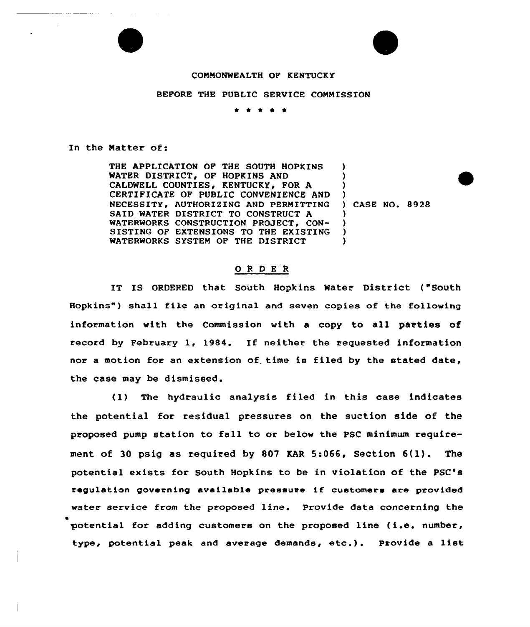### COMMONWEALTH OF KENTUCKY

#### BEFORE THE PUBLIC SERVICE COMMISSION

\* \* \* <sup>4</sup> \*

### In the Matter of:

THE APPLICATION OF THE SOUTH HOPKINS WATER DISTRICT, OF HOPKINS AND CALDWELL COUNTIES, KENTUCKY, FOR A CERTIFICATE OF PUBLIC CONVENIENCE AND NECESSITY, AUTHORIZING AND PERMITTING SAID WATER DISTRICT TO CONSTRUCT A WATERWORKS CONSTRUCTION PROJECT, CON-SISTING OF EXTENSIONS TO THE EXISTING WATERWORKS SYSTEM OP THE DISTRICT ) ) ) ) ) ) ) )

CASE NO. 8928

## 0 <sup>R</sup> <sup>D</sup> <sup>E</sup> <sup>R</sup>

IT IS ORDERED that South Hopkins Water Distxict ("South Hopkins" ) shall file an oxiginal and seven copies of the following infoxmation with the Commission with a copy to all parties of recoxd by Februaxy 1, 1984. If neither the requested information nor a motion for an extension of. time is filed by the stated date, the case may be dismissed.

(1) The hydraulic analysis filed in this case indicates the potential for residual pressures on the suction side of the proposed pump station to fall to or below the PSC minimum requirement of <sup>30</sup> psig as required by <sup>807</sup> KAR 5:066, Section 6(1). The potential exists for South Hopkins to be in violation of the PSC's regulation governing available pressure if customers are provided water service from the proposed line. Provide data concerning the potential for adding customers on the proposed line (i.e. number, type, potential peak and average demands, etc.). Provide <sup>a</sup> list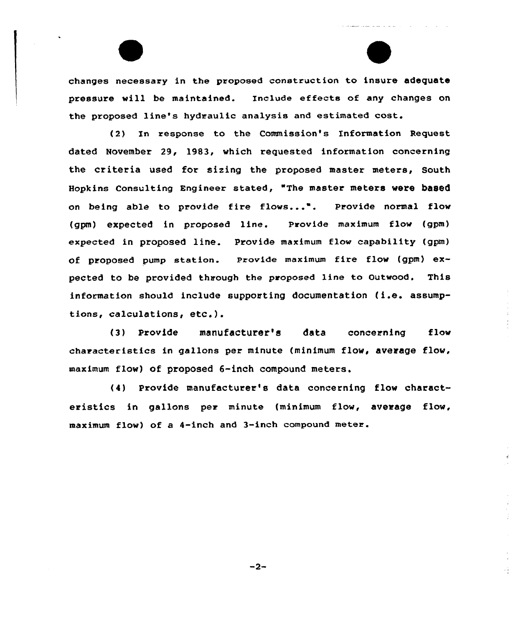changes necessary in the proposed construction to insure adequate pressure will be maintained. Include effects of any changes on the proposed line's hydraulic analysis and estimated cost.

(2) In response to the Commission's Information Request dated November 29, 1983, which requested information concerning the criteria used for sizing the proposed master meters, South Hopkins consulting Engineer stated, "The master meters were based on being able to provide fire flows...". Provide normal flow (gpm) expected in proposed line, Provide maximum flow (gpm) expected in proposed line. Provide maximum flow capability (gpm) of proposed pump station. provide maximum fire flow (gpm) expected to be provided through the proposed line to outwood. This information should include supporting documentation (i.e. assumptions, calculations, etc.).

(3) Provide manufacturer's data concerning flow characteristics in gallons per minute (minimum flow, average flow, maximum flow) of proposed 6-inch compound meters.

(4) Provide manufacturer's data concerning flow characteristics in gallons per minute (minimum flow, average flow, maximum flow) of a 4-inch and 3-inch compound meter.

 $-2-$